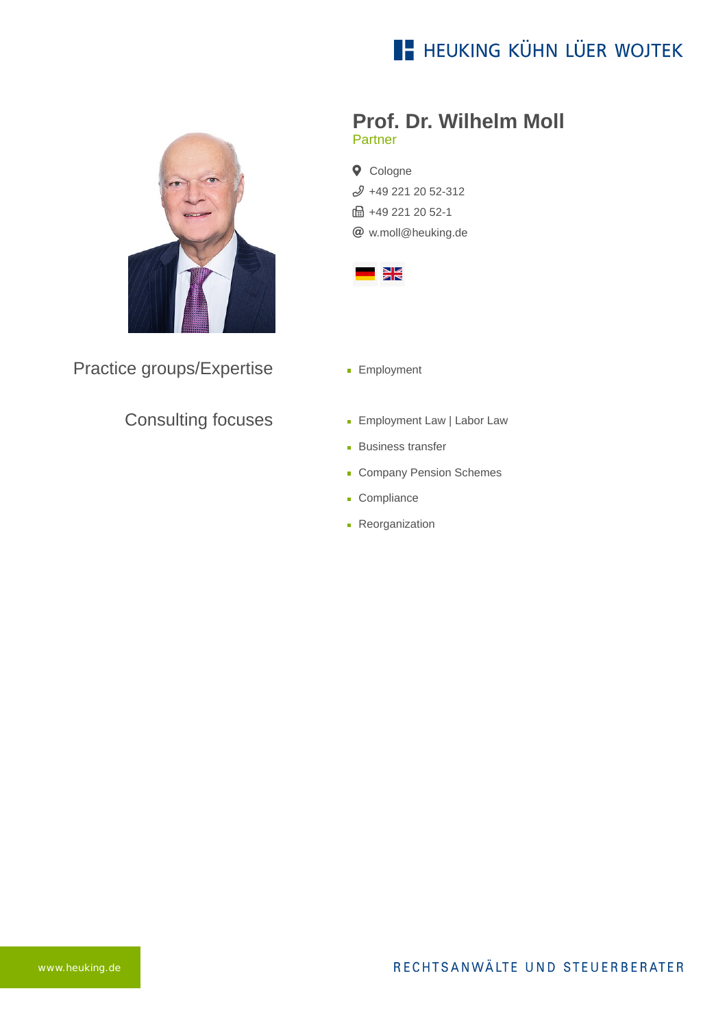# **E- HEUKING KÜHN LÜER WOJTEK**



Practice groups/Expertise

#### Consulting focuses

- **Prof. Dr. Wilhelm Moll** Partner
- **Q** Cologne [+49 221 20 52-312](tel:+492212052312) **品 +49 221 20 52-1** [w.moll@heuking.de](mailto:w.moll@heuking.de?subject=Contact%20via%20website%20heuking.de)



- **Employment**
- **Employment Law | Labor Law**
- **Business transfer**
- Company Pension Schemes
- **Compliance**
- **Reorganization**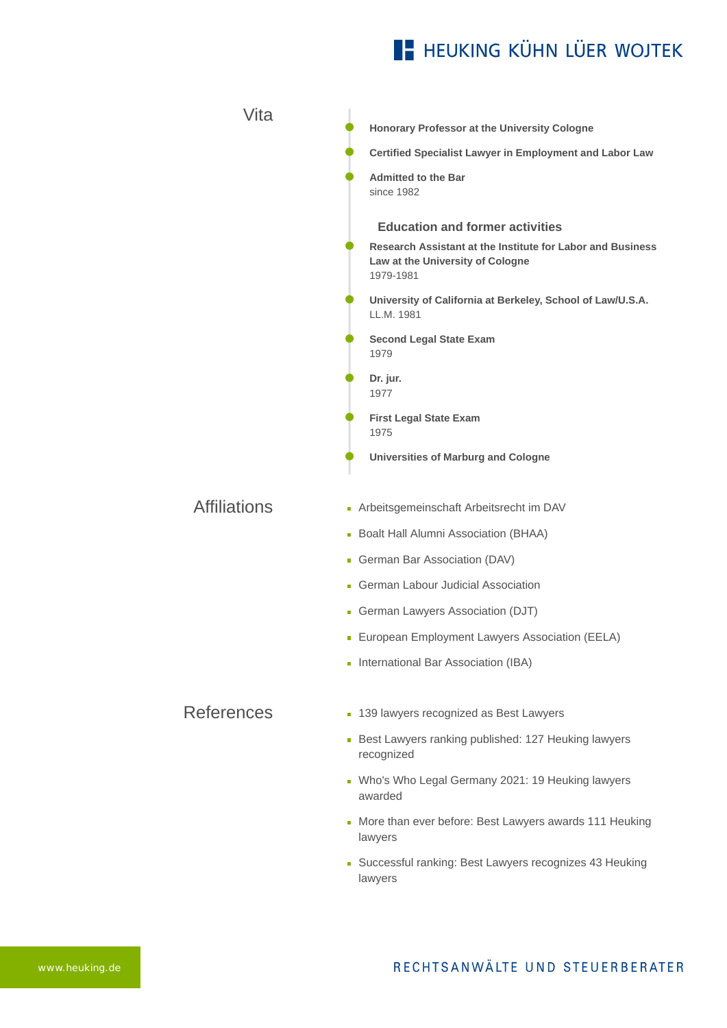# **E- HEUKING KÜHN LÜER WOJTEK**

| Vita                |                                                                                                             |
|---------------------|-------------------------------------------------------------------------------------------------------------|
|                     | Honorary Professor at the University Cologne                                                                |
|                     | <b>Certified Specialist Lawyer in Employment and Labor Law</b>                                              |
|                     | <b>Admitted to the Bar</b><br>since 1982                                                                    |
|                     | <b>Education and former activities</b>                                                                      |
|                     | Research Assistant at the Institute for Labor and Business<br>Law at the University of Cologne<br>1979-1981 |
|                     | University of California at Berkeley, School of Law/U.S.A.<br>LL.M. 1981                                    |
|                     | <b>Second Legal State Exam</b><br>1979                                                                      |
|                     | Dr. jur.<br>1977                                                                                            |
|                     | <b>First Legal State Exam</b><br>1975                                                                       |
|                     | <b>Universities of Marburg and Cologne</b>                                                                  |
| <b>Affiliations</b> | - Arbeitsgemeinschaft Arbeitsrecht im DAV                                                                   |
|                     | - Boalt Hall Alumni Association (BHAA)                                                                      |
|                     | German Bar Association (DAV)                                                                                |
|                     | • German Labour Judicial Association                                                                        |
|                     | German Lawyers Association (DJT)                                                                            |
|                     | • European Employment Lawyers Association (EELA)                                                            |
|                     | International Bar Association (IBA)                                                                         |
| <b>References</b>   | 139 lawyers recognized as Best Lawyers<br>m,                                                                |
|                     | Best Lawyers ranking published: 127 Heuking lawyers<br>recognized                                           |
|                     | • Who's Who Legal Germany 2021: 19 Heuking lawyers<br>awarded                                               |
|                     | More than ever before: Best Lawyers awards 111 Heuking<br>Ē,<br>lawyers                                     |
|                     | • Successful ranking: Best Lawyers recognizes 43 Heuking<br>lawyers                                         |